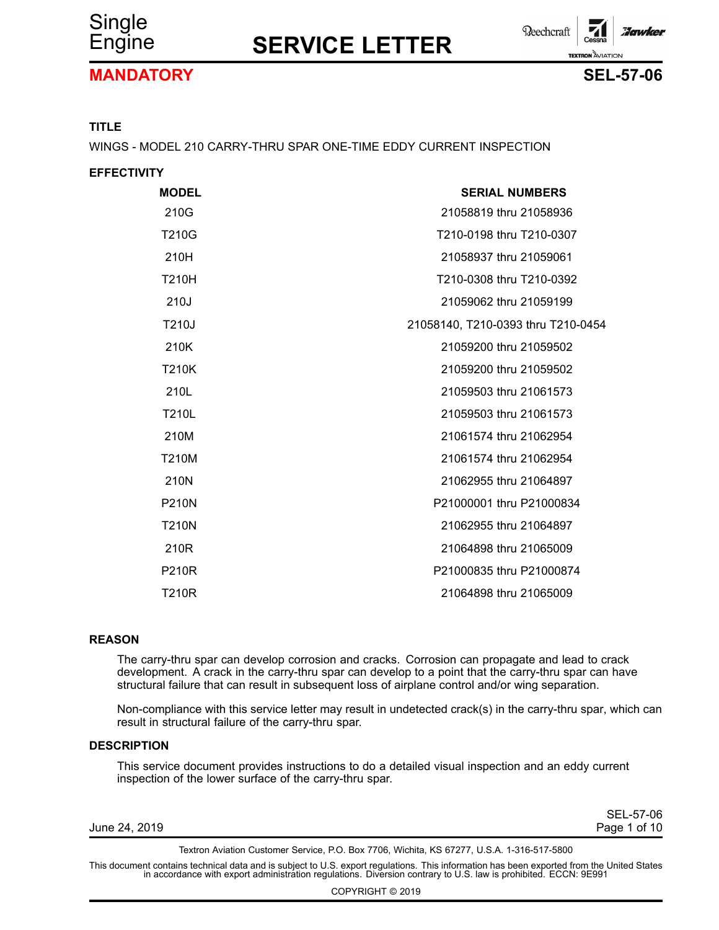

**Reechcraft** :Jawkel **TEXTRON** AVIATION

#### **MANDATORY SEL-57-06**



#### **TITLE**

WINGS - MODEL 210 CARRY-THRU SPAR ONE-TIME EDDY CURRENT INSPECTION

| <b>EFFECTIVITY</b> |                                    |
|--------------------|------------------------------------|
| <b>MODEL</b>       | <b>SERIAL NUMBERS</b>              |
| 210G               | 21058819 thru 21058936             |
| <b>T210G</b>       | T210-0198 thru T210-0307           |
| 210H               | 21058937 thru 21059061             |
| <b>T210H</b>       | T210-0308 thru T210-0392           |
| 210J               | 21059062 thru 21059199             |
| T210J              | 21058140, T210-0393 thru T210-0454 |
| 210K               | 21059200 thru 21059502             |
| <b>T210K</b>       | 21059200 thru 21059502             |
| 210L               | 21059503 thru 21061573             |
| <b>T210L</b>       | 21059503 thru 21061573             |
| 210M               | 21061574 thru 21062954             |
| <b>T210M</b>       | 21061574 thru 21062954             |
| 210N               | 21062955 thru 21064897             |
| <b>P210N</b>       | P21000001 thru P21000834           |
| <b>T210N</b>       | 21062955 thru 21064897             |
| 210R               | 21064898 thru 21065009             |
| <b>P210R</b>       | P21000835 thru P21000874           |
| <b>T210R</b>       | 21064898 thru 21065009             |

#### **REASON**

The carry-thru spar can develop corrosion and cracks. Corrosion can propagate and lead to crack development. A crack in the carry-thru spar can develop to <sup>a</sup> point that the carry-thru spar can have structural failure that can result in subsequent loss of airplane control and/or wing separation.

Non-compliance with this service letter may result in undetected crack(s) in the carry-thru spar, which can result in structural failure of the carry-thru spar.

#### **DESCRIPTION**

This service document provides instructions to do <sup>a</sup> detailed visual inspection and an eddy current inspection of the lower surface of the carry-thru spar.

| June 24, 2019 |  |
|---------------|--|
|---------------|--|

SEL-57-06 Page 1 of 10

Textron Aviation Customer Service, P.O. Box 7706, Wichita, KS 67277, U.S.A. 1-316-517-5800

This document contains technical data and is subject to U.S. export regulations. This information has been exported from the United States<br>in accordance with export administration regulations. Diversion contrary to U.S. la

COPYRIGHT © 2019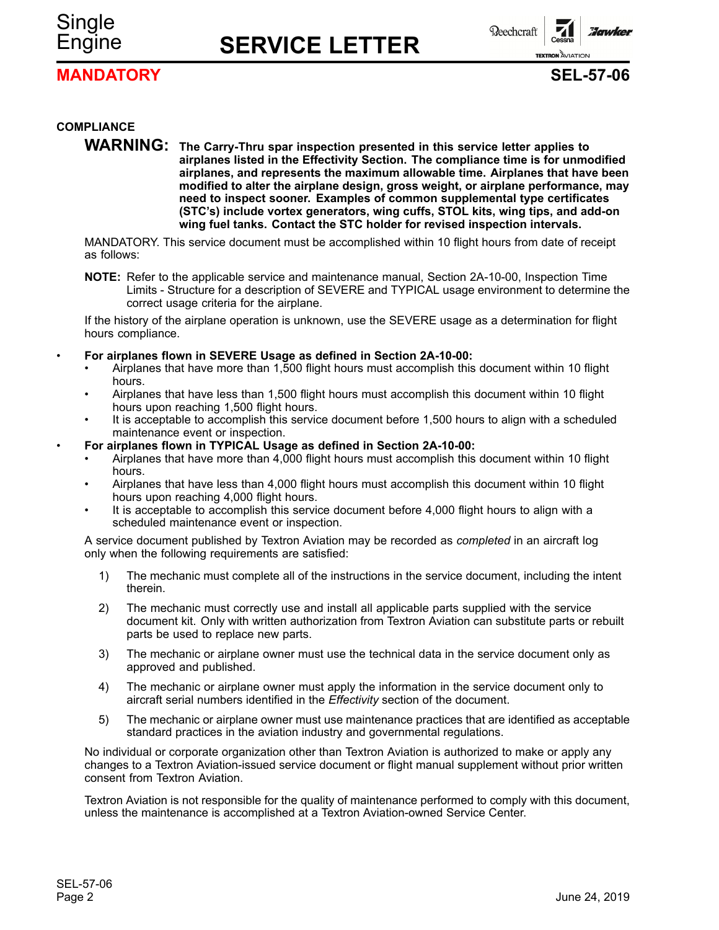# Single

## Engine **SERVICE LETTER**

**Beechcraft** 

*Zonudze* **TEXTRON** AVIATION

#### **MANDATORY SEL-57-06**



#### **COMPLIANCE**

**WARNING: The Carry-Thru spar inspection presented in this service letter applies to airplanes listed in the Effectivity Section. The compliance time is for unmodified airplanes, and represents the maximum allowable time. Airplanes that have been modified to alter the airplane design, gross weight, or airplane performance, may need to inspect sooner. Examples of common supplemental type certificates (STC's) include vortex generators, wing cuffs, STOL kits, wing tips, and add-on wing fuel tanks. Contact the STC holder for revised inspection intervals.**

MANDATORY. This service document must be accomplished within 10 flight hours from date of receipt as follows:

**NOTE:** Refer to the applicable service and maintenance manual, Section 2A-10-00, Inspection Time Limits - Structure for <sup>a</sup> description of SEVERE and TYPICAL usage environment to determine the correct usage criteria for the airplane.

If the history of the airplane operation is unknown, use the SEVERE usage as <sup>a</sup> determination for flight hours compliance.

- • **For airplanes flown in SEVERE Usage as defined in Section 2A-10-00:**
	- • Airplanes that have more than 1,500 flight hours must accomplish this document within 10 flight hours.
	- • Airplanes that have less than 1,500 flight hours must accomplish this document within 10 flight hours upon reaching 1,500 flight hours.
	- • It is acceptable to accomplish this service document before 1,500 hours to align with <sup>a</sup> scheduled maintenance event or inspection.
- • **For airplanes flown in TYPICAL Usage as defined in Section 2A-10-00:**
	- • Airplanes that have more than 4,000 flight hours must accomplish this document within 10 flight hours.
	- • Airplanes that have less than 4,000 flight hours must accomplish this document within 10 flight hours upon reaching 4,000 flight hours.
	- • It is acceptable to accomplish this service document before 4,000 flight hours to align with <sup>a</sup> scheduled maintenance event or inspection.

A service document published by Textron Aviation may be recorded as *completed* in an aircraft log only when the following requirements are satisfied:

- 1) The mechanic must complete all of the instructions in the service document, including the intent therein.
- 2) The mechanic must correctly use and install all applicable parts supplied with the service document kit. Only with written authorization from Textron Aviation can substitute parts or rebuilt parts be used to replace new parts.
- 3) The mechanic or airplane owner must use the technical data in the service document only as approved and published.
- 4) The mechanic or airplane owner must apply the information in the service document only to aircraft serial numbers identified in the *Effectivity* section of the document.
- 5) The mechanic or airplane owner must use maintenance practices that are identified as acceptable standard practices in the aviation industry and governmental regulations.

No individual or corporate organization other than Textron Aviation is authorized to make or apply any changes to <sup>a</sup> Textron Aviation-issued service document or flight manual supplement without prior written consent from Textron Aviation.

Textron Aviation is not responsible for the quality of maintenance performed to comply with this document, unless the maintenance is accomplished at <sup>a</sup> Textron Aviation-owned Service Center.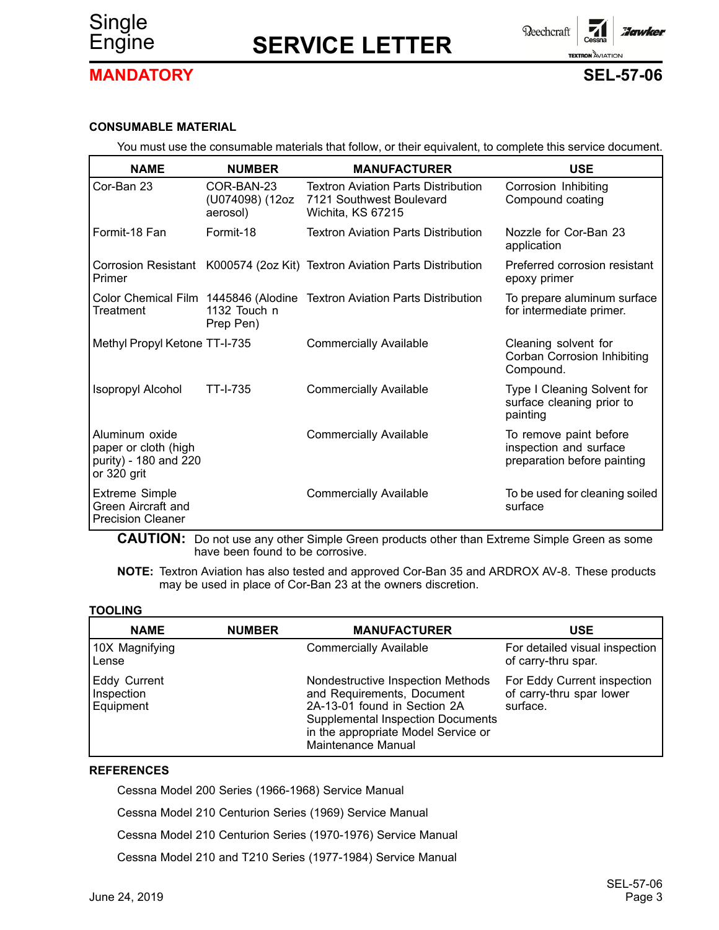



#### **MANDATORY SEL-57-06**

#### **CONSUMABLE MATERIAL**

You must use the consumable materials that follow, or their equivalent, to complete this service document.

| <b>NAME</b>                                                                    | <b>NUMBER</b>                             | <b>MANUFACTURER</b>                                                                         | <b>USE</b>                                                                      |
|--------------------------------------------------------------------------------|-------------------------------------------|---------------------------------------------------------------------------------------------|---------------------------------------------------------------------------------|
| Cor-Ban 23                                                                     | COR-BAN-23<br>(U074098) (12oz<br>aerosol) | <b>Textron Aviation Parts Distribution</b><br>7121 Southwest Boulevard<br>Wichita, KS 67215 | Corrosion Inhibiting<br>Compound coating                                        |
| Formit-18 Fan                                                                  | Formit-18                                 | <b>Textron Aviation Parts Distribution</b>                                                  | Nozzle for Cor-Ban 23<br>application                                            |
| Primer                                                                         |                                           | Corrosion Resistant K000574 (2oz Kit) Textron Aviation Parts Distribution                   | Preferred corrosion resistant<br>epoxy primer                                   |
| Treatment                                                                      | 1132 Touch n<br>Prep Pen)                 | Color Chemical Film 1445846 (Alodine Textron Aviation Parts Distribution                    | To prepare aluminum surface<br>for intermediate primer.                         |
| Methyl Propyl Ketone TT-I-735                                                  |                                           | <b>Commercially Available</b>                                                               | Cleaning solvent for<br>Corban Corrosion Inhibiting<br>Compound.                |
| <b>Isopropyl Alcohol</b>                                                       | <b>TT-I-735</b>                           | <b>Commercially Available</b>                                                               | Type I Cleaning Solvent for<br>surface cleaning prior to<br>painting            |
| Aluminum oxide<br>paper or cloth (high<br>purity) - 180 and 220<br>or 320 grit |                                           | <b>Commercially Available</b>                                                               | To remove paint before<br>inspection and surface<br>preparation before painting |
| <b>Extreme Simple</b><br>Green Aircraft and<br><b>Precision Cleaner</b>        |                                           | <b>Commercially Available</b>                                                               | To be used for cleaning soiled<br>surface                                       |

**CAUTION:** Do not use any other Simple Green products other than Extreme Simple Green as some have been found to be corrosive.

**NOTE:** Textron Aviation has also tested and approved Cor-Ban 35 and ARDROX AV-8. These products may be used in place of Cor-Ban 23 at the owners discretion.

#### **TOOLING**

| <b>NAME</b>                                    | <b>NUMBER</b> | <b>MANUFACTURER</b>                                                                                                                                                                                      | <b>USE</b>                                                          |
|------------------------------------------------|---------------|----------------------------------------------------------------------------------------------------------------------------------------------------------------------------------------------------------|---------------------------------------------------------------------|
| 10X Magnifying<br>Lense                        |               | <b>Commercially Available</b>                                                                                                                                                                            | For detailed visual inspection<br>of carry-thru spar.               |
| <b>Eddy Current</b><br>Inspection<br>Equipment |               | Nondestructive Inspection Methods<br>and Requirements, Document<br>2A-13-01 found in Section 2A<br><b>Supplemental Inspection Documents</b><br>in the appropriate Model Service or<br>Maintenance Manual | For Eddy Current inspection<br>of carry-thru spar lower<br>surface. |

#### **REFERENCES**

Cessna Model 200 Series (1966-1968) Service Manual

Cessna Model 210 Centurion Series (1969) Service Manual

Cessna Model 210 Centurion Series (1970-1976) Service Manual

Cessna Model 210 and T210 Series (1977-1984) Service Manual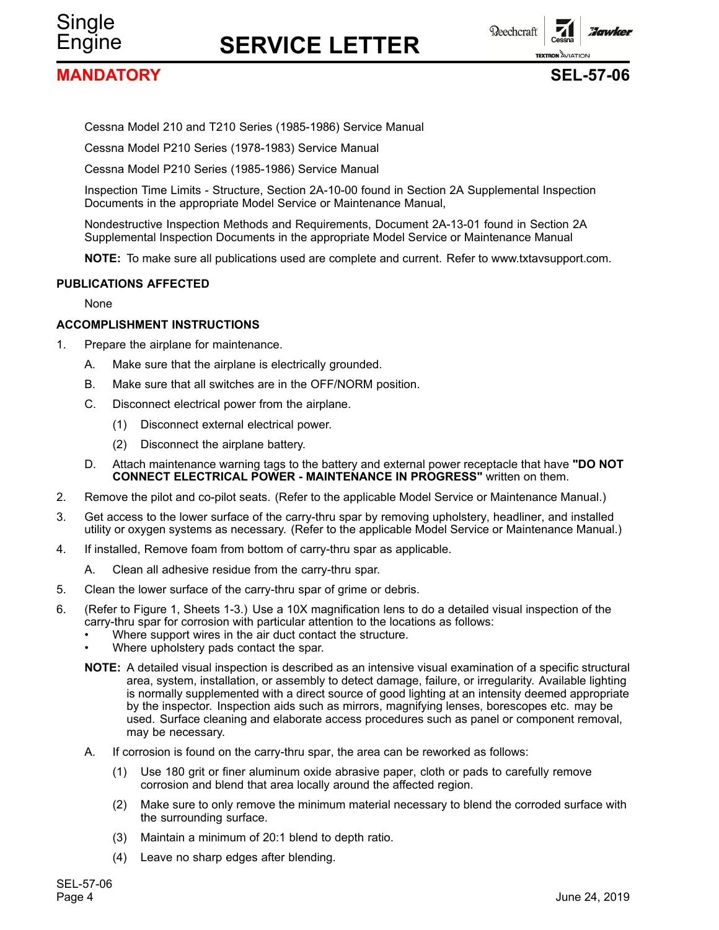**MANDATORY SEL-57-06**

Single

**TEXTRON** AVIATION

**Beechcraft** 



**Florunkey** 

Cessna Model 210 and T210 Series (1985-1986) Service Manual

Cessna Model P210 Series (1978-1983) Service Manual

Cessna Model P210 Series (1985-1986) Service Manual

Inspection Time Limits - Structure, Section 2A-10-00 found in Section 2A Supplemental Inspection Documents in the appropriate Model Service or Maintenance Manual,

Nondestructive Inspection Methods and Requirements, Document 2A-13-01 found in Section 2A Supplemental Inspection Documents in the appropriate Model Service or Maintenance Manual

**NOTE:** To make sure all publications used are complete and current. Refer to www.txtavsupport.com.

#### **PUBLICATIONS AFFECTED**

None

#### **ACCOMPLISHMENT INSTRUCTIONS**

- 1. Prepare the airplane for maintenance.
	- A. Make sure that the airplane is electrically grounded.
	- B. Make sure that all switches are in the OFF/NORM position.
	- C. Disconnect electrical power from the airplane.
		- (1) Disconnect external electrical power.
		- (2) Disconnect the airplane battery.
	- D. Attach maintenance warning tags to the battery and external power receptacle that have **"DO NOT CONNECT ELECTRICAL POWER - MAINTENANCE IN PROGRESS"** written on them.
- 2. Remove the pilot and co-pilot seats. (Refer to the applicable Model Service or Maintenance Manual.)
- 3. Get access to the lower surface of the carry-thru spar by removing upholstery, headliner, and installed utility or oxygen systems as necessary. (Refer to the applicable Model Service or Maintenance Manual.)
- 4. If installed, Remove foam from bottom of carry-thru spar as applicable.
	- A. Clean all adhesive residue from the carry-thru spar.
- 5. Clean the lower surface of the carry-thru spar of grime or debris.
- 6. (Refer to Figure 1, Sheets 1-3.) Use <sup>a</sup> 10X magnification lens to do <sup>a</sup> detailed visual inspection of the carry-thru spar for corrosion with particular attention to the locations as follows:
	- •Where support wires in the air duct contact the structure.
	- •Where upholstery pads contact the spar.
	- **NOTE:** A detailed visual inspection is described as an intensive visual examination of <sup>a</sup> specific structural area, system, installation, or assembly to detect damage, failure, or irregularity. Available lighting is normally supplemented with <sup>a</sup> direct source of good lighting at an intensity deemed appropriate by the inspector. Inspection aids such as mirrors, magnifying lenses, borescopes etc. may be used. Surface cleaning and elaborate access procedures such as panel or component removal, may be necessary.
	- A. If corrosion is found on the carry-thru spar, the area can be reworked as follows:
		- (1) Use 180 grit or finer aluminum oxide abrasive paper, cloth or pads to carefully remove corrosion and blend that area locally around the affected region.
		- (2) Make sure to only remove the minimum material necessary to blend the corroded surface with the surrounding surface.
		- (3) Maintain <sup>a</sup> minimum of 20:1 blend to depth ratio.
		- (4) Leave no sharp edges after blending.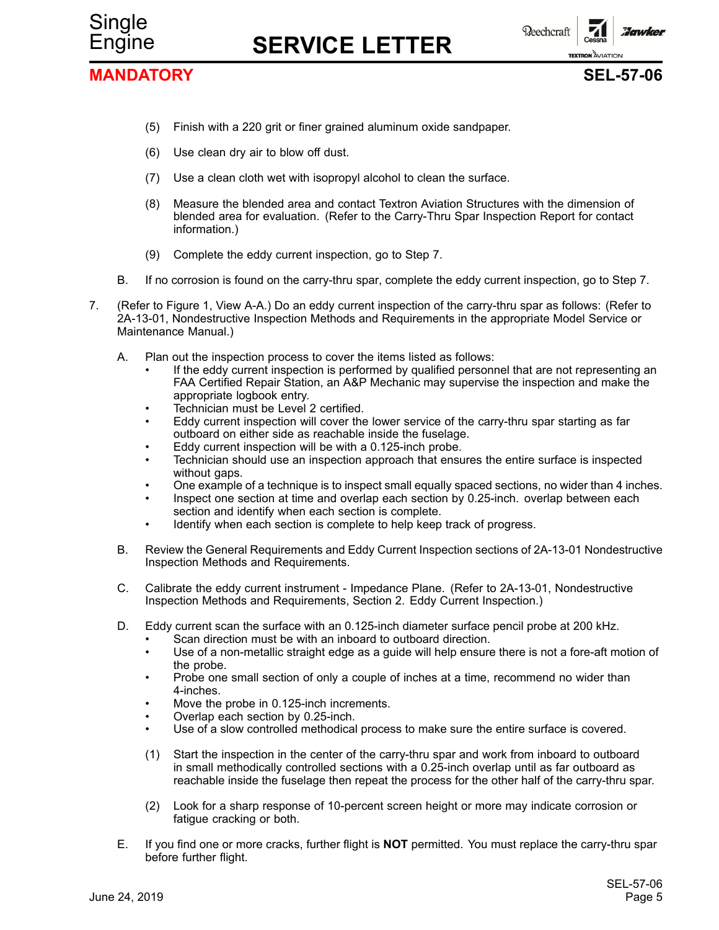



#### **MANDATORY SEL-57-06**



- (5) Finish with <sup>a</sup> 220 grit or finer grained aluminum oxide sandpaper.
- (6) Use clean dry air to blow off dust.
- (7) Use <sup>a</sup> clean cloth wet with isopropyl alcohol to clean the surface.
- (8) Measure the blended area and contact Textron Aviation Structures with the dimension of blended area for evaluation. (Refer to the Carry-Thru Spar Inspection Report for contact information.)
- (9) Complete the eddy current inspection, go to Step 7.
- B. If no corrosion is found on the carry-thru spar, complete the eddy current inspection, go to Step 7.
- 7. (Refer to Figure 1, View A-A.) Do an eddy current inspection of the carry-thru spar as follows: (Refer to 2A-13-01, Nondestructive Inspection Methods and Requirements in the appropriate Model Service or Maintenance Manual.)
	- A. Plan out the inspection process to cover the items listed as follows:
		- • If the eddy current inspection is performed by qualified personnel that are not representing an FAA Certified Repair Station, an A&P Mechanic may supervise the inspection and make the appropriate logbook entry.
		- •Technician must be Level 2 certified.
		- • Eddy current inspection will cover the lower service of the carry-thru spar starting as far outboard on either side as reachable inside the fuselage.
		- •Eddy current inspection will be with <sup>a</sup> 0.125-inch probe.
		- • Technician should use an inspection approach that ensures the entire surface is inspected without gaps.
		- •One example of <sup>a</sup> technique is to inspect small equally spaced sections, no wider than 4 inches.
		- • Inspect one section at time and overlap each section by 0.25-inch. overlap between each section and identify when each section is complete.
		- •Identify when each section is complete to help keep track of progress.
	- B. Review the General Requirements and Eddy Current Inspection sections of 2A-13-01 Nondestructive Inspection Methods and Requirements.
	- C. Calibrate the eddy current instrument Impedance Plane. (Refer to 2A-13-01, Nondestructive Inspection Methods and Requirements, Section 2. Eddy Current Inspection.)
	- D. Eddy current scan the surface with an 0.125-inch diameter surface pencil probe at 200 kHz.
		- •Scan direction must be with an inboard to outboard direction.
		- • Use of <sup>a</sup> non-metallic straight edge as <sup>a</sup> guide will help ensure there is not <sup>a</sup> fore-aft motion of the probe.
		- • Probe one small section of only <sup>a</sup> couple of inches at <sup>a</sup> time, recommend no wider than 4-inches.
		- •Move the probe in 0.125-inch increments.
		- •Overlap each section by 0.25-inch.
		- •Use of <sup>a</sup> slow controlled methodical process to make sure the entire surface is covered.
		- (1) Start the inspection in the center of the carry-thru spar and work from inboard to outboard in small methodically controlled sections with <sup>a</sup> 0.25-inch overlap until as far outboard as reachable inside the fuselage then repeat the process for the other half of the carry-thru spar.
		- (2) Look for <sup>a</sup> sharp response of 10-percent screen height or more may indicate corrosion or fatigue cracking or both.
	- E. If you find one or more cracks, further flight is **NOT** permitted. You must replace the carry-thru spar before further flight.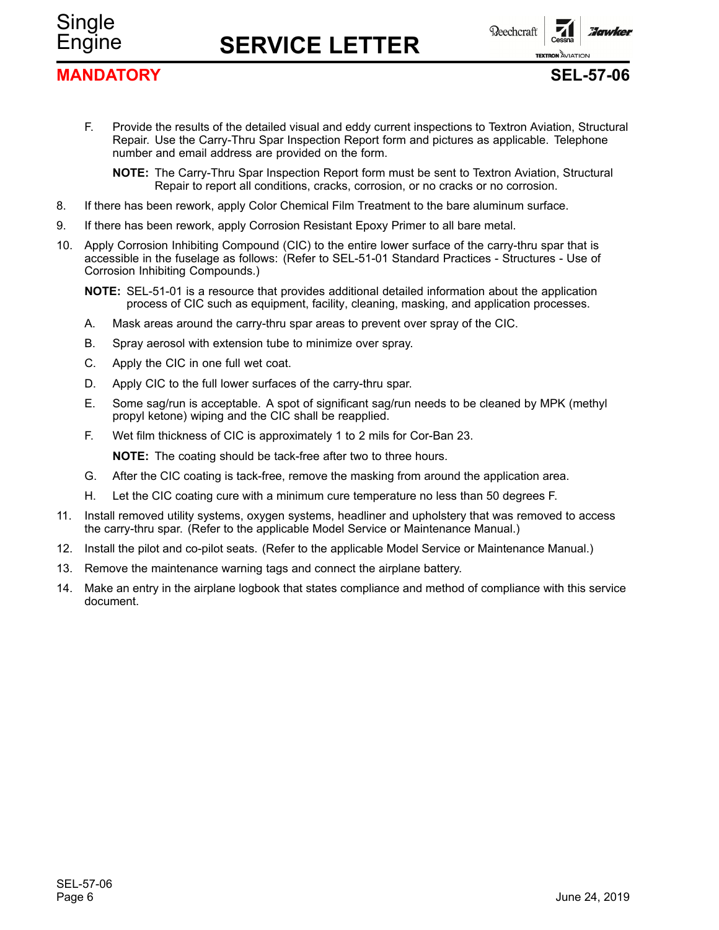**Beechcraft** 

#### **MANDATORY SEL-57-06**

Single

**TEXTRON** AVIATION

**Florunkey** 

- F. Provide the results of the detailed visual and eddy current inspections to Textron Aviation, Structural Repair. Use the Carry-Thru Spar Inspection Report form and pictures as applicable. Telephone number and email address are provided on the form.
	- **NOTE:** The Carry-Thru Spar Inspection Report form must be sent to Textron Aviation, Structural Repair to report all conditions, cracks, corrosion, or no cracks or no corrosion.
- 8. If there has been rework, apply Color Chemical Film Treatment to the bare aluminum surface.
- 9. If there has been rework, apply Corrosion Resistant Epoxy Primer to all bare metal.
- 10. Apply Corrosion Inhibiting Compound (CIC) to the entire lower surface of the carry-thru spar that is accessible in the fuselage as follows: (Refer to SEL-51-01 Standard Practices - Structures - Use of Corrosion Inhibiting Compounds.)
	- **NOTE:** SEL-51-01 is <sup>a</sup> resource that provides additional detailed information about the application process of CIC such as equipment, facility, cleaning, masking, and application processes.
	- A. Mask areas around the carry-thru spar areas to prevent over spray of the CIC.
	- B. Spray aerosol with extension tube to minimize over spray.
	- C. Apply the CIC in one full wet coat.
	- D. Apply CIC to the full lower surfaces of the carry-thru spar.
	- E. Some sag/run is acceptable. A spot of significant sag/run needs to be cleaned by MPK (methyl propyl ketone) wiping and the CIC shall be reapplied.
	- F. Wet film thickness of CIC is approximately 1 to 2 mils for Cor-Ban 23.

**NOTE:** The coating should be tack-free after two to three hours.

- G. After the CIC coating is tack-free, remove the masking from around the application area.
- H. Let the CIC coating cure with <sup>a</sup> minimum cure temperature no less than 50 degrees F.
- 11. Install removed utility systems, oxygen systems, headliner and upholstery that was removed to access the carry-thru spar. (Refer to the applicable Model Service or Maintenance Manual.)
- 12. Install the pilot and co-pilot seats. (Refer to the applicable Model Service or Maintenance Manual.)
- 13. Remove the maintenance warning tags and connect the airplane battery.
- 14. Make an entry in the airplane logbook that states compliance and method of compliance with this service document.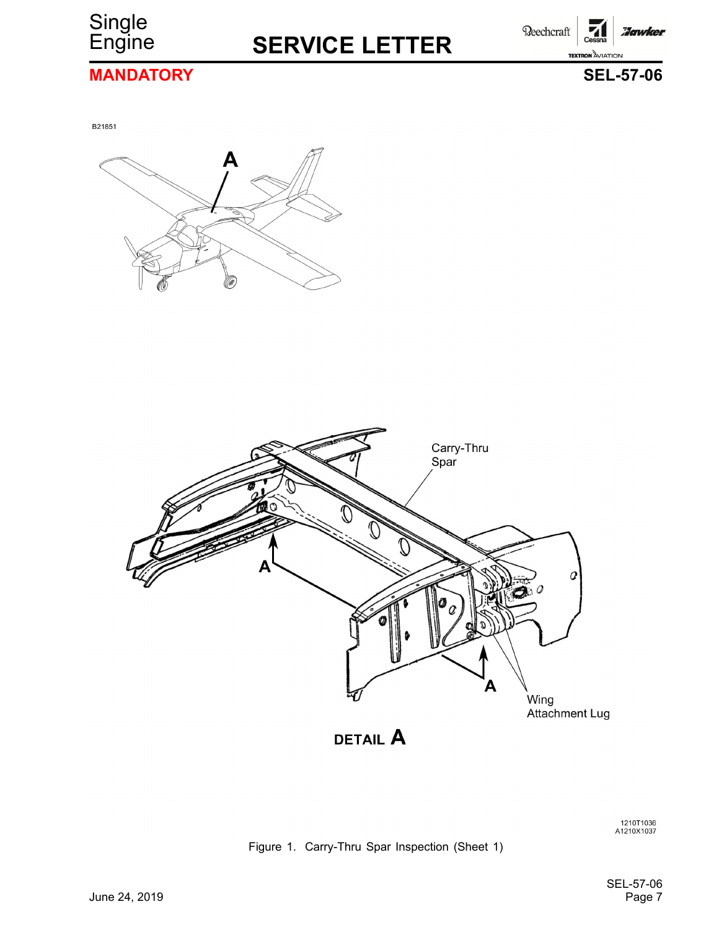

Beechcraft **Hawker TEXTRON AVIATION** 

### **MANDATORY SEL-57-06**

B21851





1210T1036<br>A1210X1037

Figure 1. Carry-Thru Spar Inspection (Sheet 1)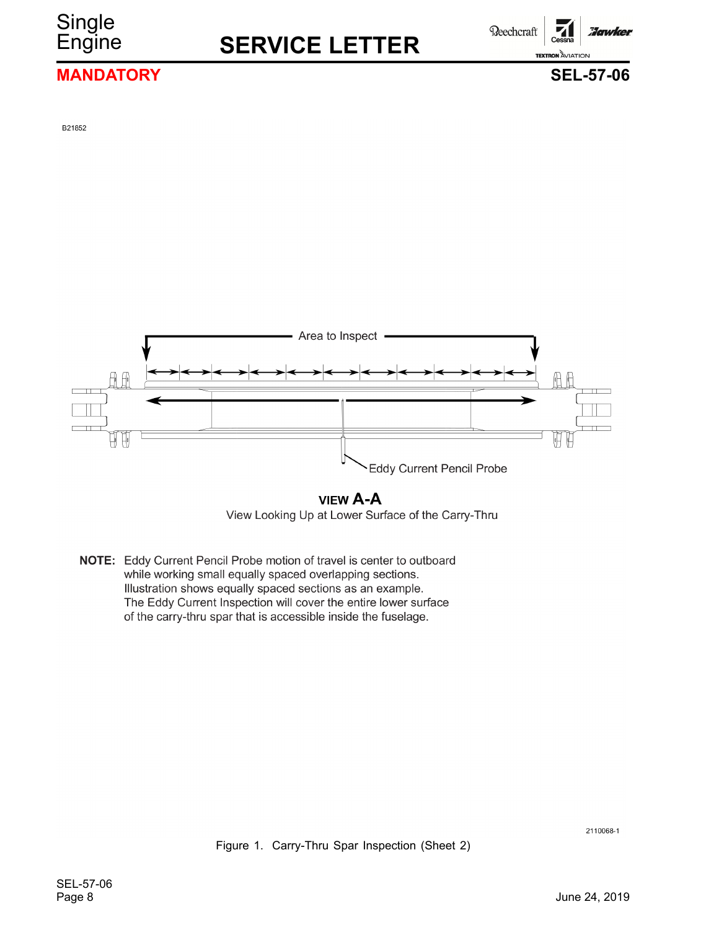**Single** 

**Reechcraft** 

Hawkel

#### **MANDATORY SEL-57-06**

**TEXTRON AVIATION** 

B21852



#### **VIEW A-A**

View Looking Up at Lower Surface of the Carry-Thru

NOTE: Eddy Current Pencil Probe motion of travel is center to outboard while working small equally spaced overlapping sections. Illustration shows equally spaced sections as an example. The Eddy Current Inspection will cover the entire lower surface of the carry-thru spar that is accessible inside the fuselage.

2110068-1

Figure 1. Carry-Thru Spar Inspection (Sheet 2)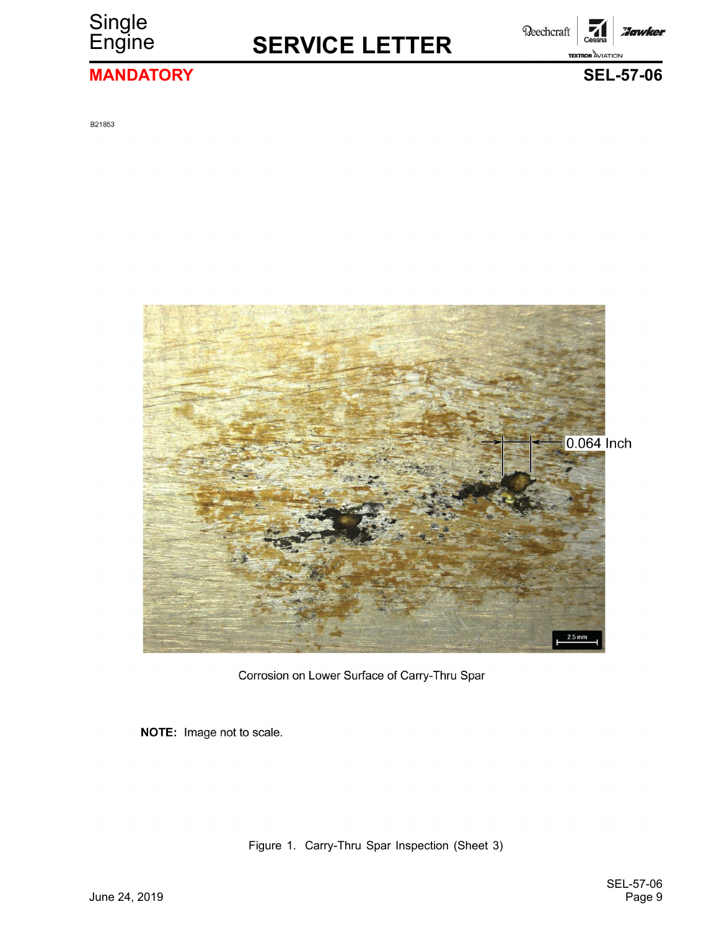

Beechcraft **Hawker TEXTRON** AVIATION

### **MANDATORY SEL-57-06**

B21853



Corrosion on Lower Surface of Carry-Thru Spar

NOTE: Image not to scale.

Figure 1. Carry-Thru Spar Inspection (Sheet 3)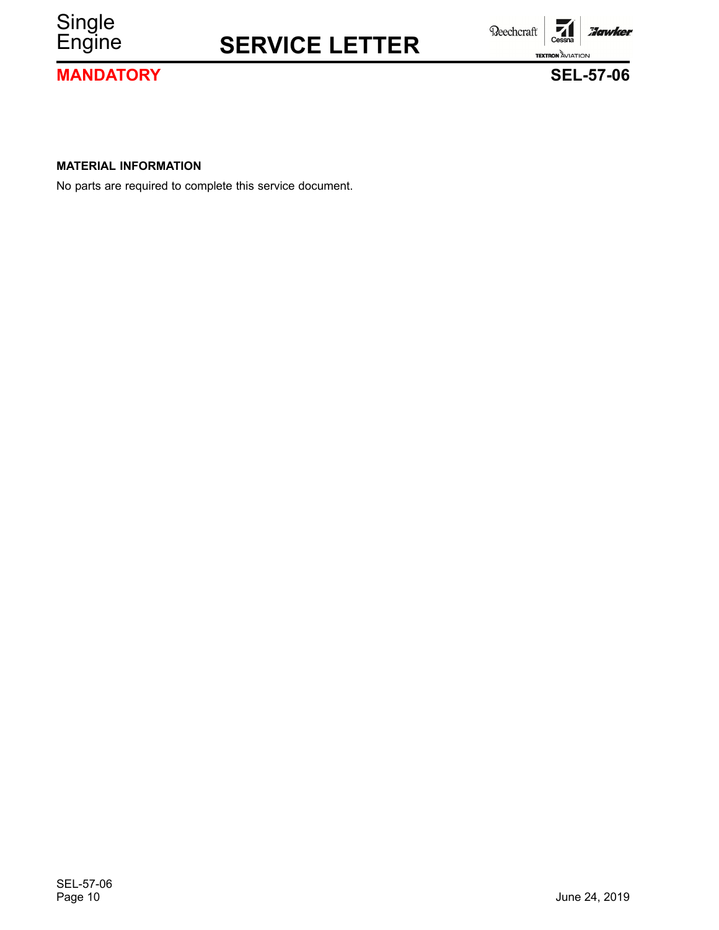

**MANDATORY SEL-57-06**

**TEXTRON AVIATION** 

Beechcraft



**Hawker** 

**MATERIAL INFORMATION**

No parts are required to complete this service document.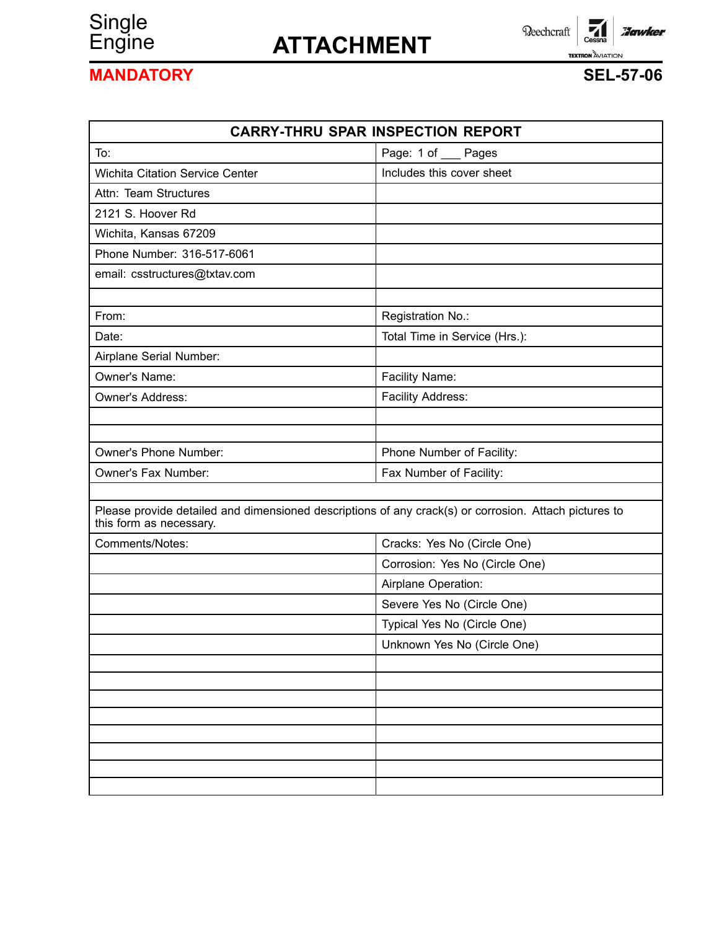# Single<br>Engine

# Engine **ATTACHMENT**

 $\overline{\phantom{a}}$ Cessna Reechcraft **Hawker TEXTRON AVIATION** 

## **MANDATORY SEL-57-06**

| <b>CARRY-THRU SPAR INSPECTION REPORT</b>                                                                                         |                                |  |  |
|----------------------------------------------------------------------------------------------------------------------------------|--------------------------------|--|--|
| To:                                                                                                                              | Page: 1 of __ Pages            |  |  |
| <b>Wichita Citation Service Center</b>                                                                                           | Includes this cover sheet      |  |  |
| Attn: Team Structures                                                                                                            |                                |  |  |
| 2121 S. Hoover Rd                                                                                                                |                                |  |  |
| Wichita, Kansas 67209                                                                                                            |                                |  |  |
| Phone Number: 316-517-6061                                                                                                       |                                |  |  |
| email: csstructures@txtav.com                                                                                                    |                                |  |  |
| From:                                                                                                                            | Registration No.:              |  |  |
| Date:                                                                                                                            | Total Time in Service (Hrs.):  |  |  |
| Airplane Serial Number:                                                                                                          |                                |  |  |
| Owner's Name:                                                                                                                    | Facility Name:                 |  |  |
| Owner's Address:                                                                                                                 | Facility Address:              |  |  |
|                                                                                                                                  |                                |  |  |
|                                                                                                                                  |                                |  |  |
| Owner's Phone Number:                                                                                                            | Phone Number of Facility:      |  |  |
| Owner's Fax Number:                                                                                                              | Fax Number of Facility:        |  |  |
| Please provide detailed and dimensioned descriptions of any crack(s) or corrosion. Attach pictures to<br>this form as necessary. |                                |  |  |
| Comments/Notes:                                                                                                                  | Cracks: Yes No (Circle One)    |  |  |
|                                                                                                                                  | Corrosion: Yes No (Circle One) |  |  |
|                                                                                                                                  | Airplane Operation:            |  |  |
|                                                                                                                                  | Severe Yes No (Circle One)     |  |  |
|                                                                                                                                  | Typical Yes No (Circle One)    |  |  |
|                                                                                                                                  | Unknown Yes No (Circle One)    |  |  |
|                                                                                                                                  |                                |  |  |
|                                                                                                                                  |                                |  |  |
|                                                                                                                                  |                                |  |  |
|                                                                                                                                  |                                |  |  |
|                                                                                                                                  |                                |  |  |
|                                                                                                                                  |                                |  |  |
|                                                                                                                                  |                                |  |  |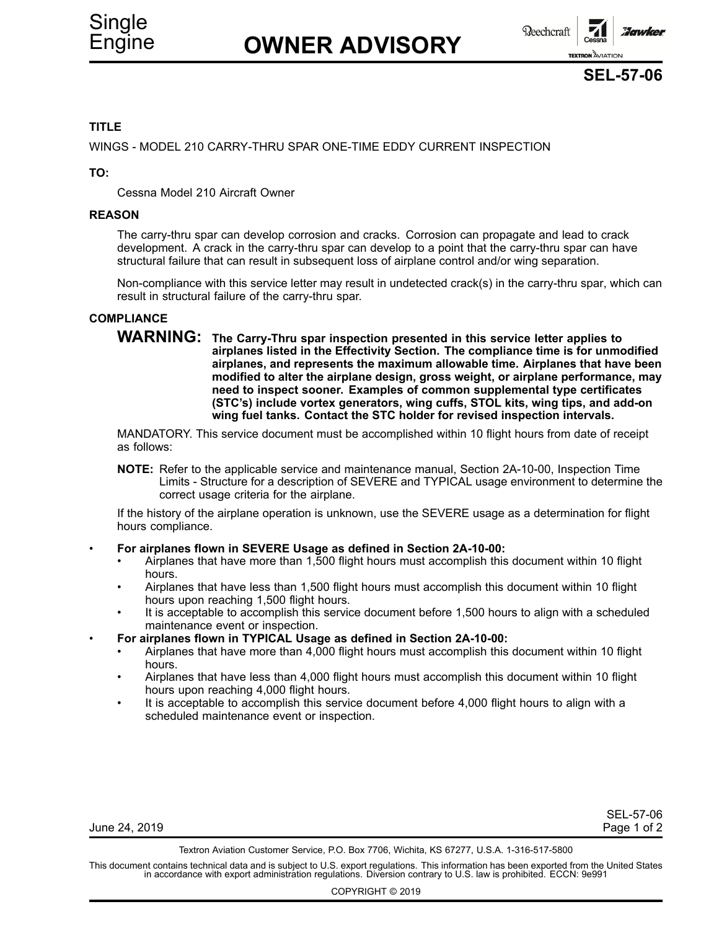

#### **TITLE**

WINGS - MODEL 210 CARRY-THRU SPAR ONE-TIME EDDY CURRENT INSPECTION

**TO:**

Cessna Model 210 Aircraft Owner

#### **REASON**

The carry-thru spar can develop corrosion and cracks. Corrosion can propagate and lead to crack development. A crack in the carry-thru spar can develop to <sup>a</sup> point that the carry-thru spar can have structural failure that can result in subsequent loss of airplane control and/or wing separation.

Non-compliance with this service letter may result in undetected crack(s) in the carry-thru spar, which can result in structural failure of the carry-thru spar.

#### **COMPLIANCE**

**WARNING: The Carry-Thru spar inspection presented in this service letter applies to airplanes listed in the Effectivity Section. The compliance time is for unmodified airplanes, and represents the maximum allowable time. Airplanes that have been modified to alter the airplane design, gross weight, or airplane performance, may need to inspect sooner. Examples of common supplemental type certificates (STC's) include vortex generators, wing cuffs, STOL kits, wing tips, and add-on wing fuel tanks. Contact the STC holder for revised inspection intervals.**

MANDATORY. This service document must be accomplished within 10 flight hours from date of receipt as follows:

**NOTE:** Refer to the applicable service and maintenance manual, Section 2A-10-00, Inspection Time Limits - Structure for <sup>a</sup> description of SEVERE and TYPICAL usage environment to determine the correct usage criteria for the airplane.

If the history of the airplane operation is unknown, use the SEVERE usage as <sup>a</sup> determination for flight hours compliance.

•**For airplanes flown in SEVERE Usage as defined in Section 2A-10-00:**

- • Airplanes that have more than 1,500 flight hours must accomplish this document within 10 flight hours.
- • Airplanes that have less than 1,500 flight hours must accomplish this document within 10 flight hours upon reaching 1,500 flight hours.
- • It is acceptable to accomplish this service document before 1,500 hours to align with <sup>a</sup> scheduled maintenance event or inspection.
- • **For airplanes flown in TYPICAL Usage as defined in Section 2A-10-00:**
	- • Airplanes that have more than 4,000 flight hours must accomplish this document within 10 flight hours.
	- • Airplanes that have less than 4,000 flight hours must accomplish this document within 10 flight hours upon reaching 4,000 flight hours.
	- • It is acceptable to accomplish this service document before 4,000 flight hours to align with <sup>a</sup> scheduled maintenance event or inspection.

| June 24, 2019 | Page 1 of 2 |
|---------------|-------------|
|               |             |

SEL-57-06

Textron Aviation Customer Service, P.O. Box 7706, Wichita, KS 67277, U.S.A. 1-316-517-5800

This document contains technical data and is subject to U.S. export regulations. This information has been exported from the United States<br>in accordance with export administration regulations. Diversion contrary to U.S. la

COPYRIGHT © 2019